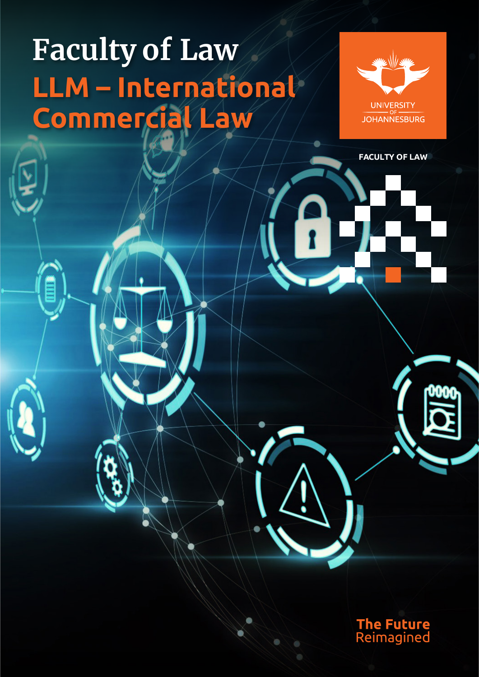## **Faculty of Law LLM – International Commercial Law**



**FACULTY OF LAW**

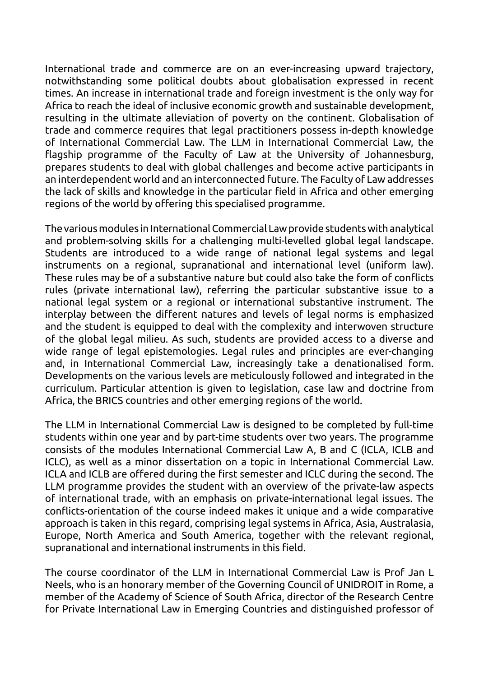International trade and commerce are on an ever-increasing upward trajectory, notwithstanding some political doubts about globalisation expressed in recent times. An increase in international trade and foreign investment is the only way for Africa to reach the ideal of inclusive economic growth and sustainable development, resulting in the ultimate alleviation of poverty on the continent. Globalisation of trade and commerce requires that legal practitioners possess in-depth knowledge of International Commercial Law. The LLM in International Commercial Law, the flagship programme of the Faculty of Law at the University of Johannesburg, prepares students to deal with global challenges and become active participants in an interdependent world and an interconnected future. The Faculty of Law addresses the lack of skills and knowledge in the particular field in Africa and other emerging regions of the world by offering this specialised programme.

The various modules in International Commercial Law provide students with analytical and problem-solving skills for a challenging multi-levelled global legal landscape. Students are introduced to a wide range of national legal systems and legal instruments on a regional, supranational and international level (uniform law). These rules may be of a substantive nature but could also take the form of conflicts rules (private international law), referring the particular substantive issue to a national legal system or a regional or international substantive instrument. The interplay between the different natures and levels of legal norms is emphasized and the student is equipped to deal with the complexity and interwoven structure of the global legal milieu. As such, students are provided access to a diverse and wide range of legal epistemologies. Legal rules and principles are ever-changing and, in International Commercial Law, increasingly take a denationalised form. Developments on the various levels are meticulously followed and integrated in the curriculum. Particular attention is given to legislation, case law and doctrine from Africa, the BRICS countries and other emerging regions of the world.

The LLM in International Commercial Law is designed to be completed by full-time students within one year and by part-time students over two years. The programme consists of the modules International Commercial Law A, B and C (ICLA, ICLB and ICLC), as well as a minor dissertation on a topic in International Commercial Law. ICLA and ICLB are offered during the first semester and ICLC during the second. The LLM programme provides the student with an overview of the private-law aspects of international trade, with an emphasis on private-international legal issues. The conflicts-orientation of the course indeed makes it unique and a wide comparative approach is taken in this regard, comprising legal systems in Africa, Asia, Australasia, Europe, North America and South America, together with the relevant regional, supranational and international instruments in this field.

The course coordinator of the LLM in International Commercial Law is Prof Jan L Neels, who is an honorary member of the Governing Council of UNIDROIT in Rome, a member of the Academy of Science of South Africa, director of the Research Centre for Private International Law in Emerging Countries and distinguished professor of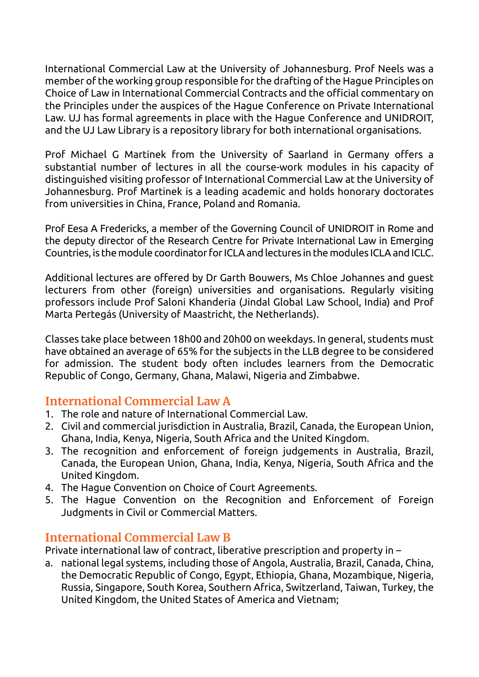International Commercial Law at the University of Johannesburg. Prof Neels was a member of the working group responsible for the drafting of the Hague Principles on Choice of Law in International Commercial Contracts and the official commentary on the Principles under the auspices of the Hague Conference on Private International Law. UJ has formal agreements in place with the Hague Conference and UNIDROIT, and the UJ Law Library is a repository library for both international organisations.

Prof Michael G Martinek from the University of Saarland in Germany offers a substantial number of lectures in all the course-work modules in his capacity of distinguished visiting professor of International Commercial Law at the University of Johannesburg. Prof Martinek is a leading academic and holds honorary doctorates from universities in China, France, Poland and Romania.

Prof Eesa A Fredericks, a member of the Governing Council of UNIDROIT in Rome and the deputy director of the Research Centre for Private International Law in Emerging Countries, is the module coordinator for ICLA and lectures in the modules ICLA and ICLC.

Additional lectures are offered by Dr Garth Bouwers, Ms Chloe Johannes and guest lecturers from other (foreign) universities and organisations. Regularly visiting professors include Prof Saloni Khanderia (Jindal Global Law School, India) and Prof Marta Pertegás (University of Maastricht, the Netherlands).

Classes take place between 18h00 and 20h00 on weekdays. In general, students must have obtained an average of 65% for the subjects in the LLB degree to be considered for admission. The student body often includes learners from the Democratic Republic of Congo, Germany, Ghana, Malawi, Nigeria and Zimbabwe.

## **International Commercial Law A**

- 1. The role and nature of International Commercial Law.
- 2. Civil and commercial jurisdiction in Australia, Brazil, Canada, the European Union, Ghana, India, Kenya, Nigeria, South Africa and the United Kingdom.
- 3. The recognition and enforcement of foreign judgements in Australia, Brazil, Canada, the European Union, Ghana, India, Kenya, Nigeria, South Africa and the United Kingdom.
- 4. The Hague Convention on Choice of Court Agreements.
- 5. The Hague Convention on the Recognition and Enforcement of Foreign Judgments in Civil or Commercial Matters.

## **International Commercial Law B**

Private international law of contract, liberative prescription and property in –

a. national legal systems, including those of Angola, Australia, Brazil, Canada, China, the Democratic Republic of Congo, Egypt, Ethiopia, Ghana, Mozambique, Nigeria, Russia, Singapore, South Korea, Southern Africa, Switzerland, Taiwan, Turkey, the United Kingdom, the United States of America and Vietnam;